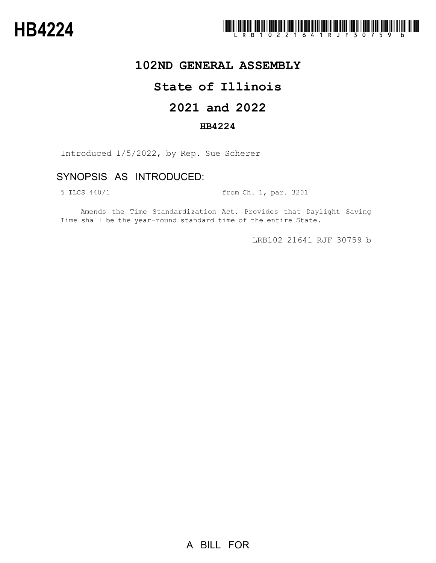

## **102ND GENERAL ASSEMBLY**

## **State of Illinois**

# **2021 and 2022**

### **HB4224**

Introduced 1/5/2022, by Rep. Sue Scherer

## SYNOPSIS AS INTRODUCED:

5 ILCS 440/1 from Ch. 1, par. 3201

Amends the Time Standardization Act. Provides that Daylight Saving Time shall be the year-round standard time of the entire State.

LRB102 21641 RJF 30759 b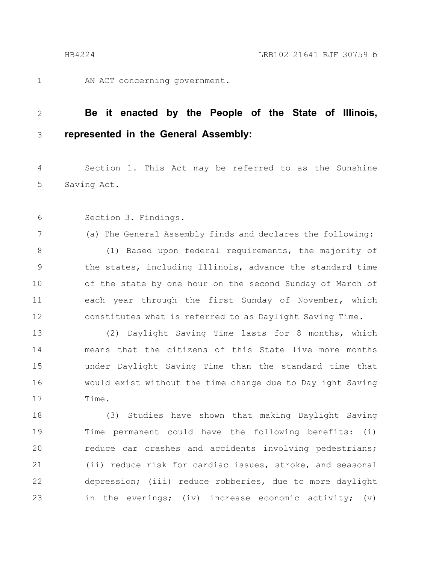AN ACT concerning government.

#### **Be it enacted by the People of the State of Illinois, represented in the General Assembly:** 2 3

Section 1. This Act may be referred to as the Sunshine Saving Act. 4 5

Section 3. Findings. 6

7

1

(a) The General Assembly finds and declares the following:

(1) Based upon federal requirements, the majority of the states, including Illinois, advance the standard time of the state by one hour on the second Sunday of March of each year through the first Sunday of November, which constitutes what is referred to as Daylight Saving Time. 8 9 10 11 12

(2) Daylight Saving Time lasts for 8 months, which means that the citizens of this State live more months under Daylight Saving Time than the standard time that would exist without the time change due to Daylight Saving Time. 13 14 15 16 17

(3) Studies have shown that making Daylight Saving Time permanent could have the following benefits: (i) reduce car crashes and accidents involving pedestrians; (ii) reduce risk for cardiac issues, stroke, and seasonal depression; (iii) reduce robberies, due to more daylight in the evenings; (iv) increase economic activity; (v) 18 19 20 21 22 23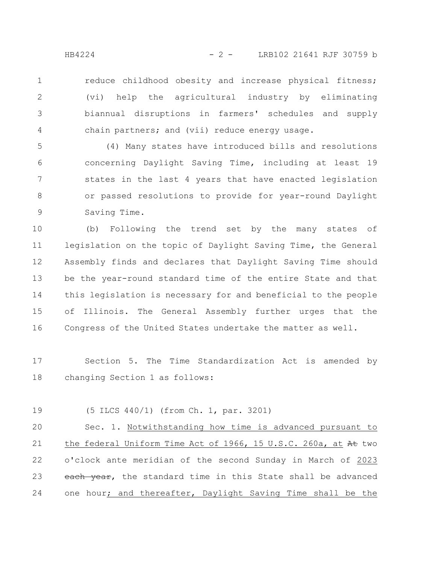reduce childhood obesity and increase physical fitness; (vi) help the agricultural industry by eliminating biannual disruptions in farmers' schedules and supply chain partners; and (vii) reduce energy usage. 1 2 3 4

(4) Many states have introduced bills and resolutions concerning Daylight Saving Time, including at least 19 states in the last 4 years that have enacted legislation or passed resolutions to provide for year-round Daylight Saving Time. 5 6 7 8 9

(b) Following the trend set by the many states of legislation on the topic of Daylight Saving Time, the General Assembly finds and declares that Daylight Saving Time should be the year-round standard time of the entire State and that this legislation is necessary for and beneficial to the people of Illinois. The General Assembly further urges that the Congress of the United States undertake the matter as well. 10 11 12 13 14 15 16

Section 5. The Time Standardization Act is amended by changing Section 1 as follows: 17 18

(5 ILCS 440/1) (from Ch. 1, par. 3201) 19

Sec. 1. Notwithstanding how time is advanced pursuant to the federal Uniform Time Act of 1966, 15 U.S.C. 260a, at At two o'clock ante meridian of the second Sunday in March of 2023 each year, the standard time in this State shall be advanced one hour; and thereafter, Daylight Saving Time shall be the 20 21 22 23 24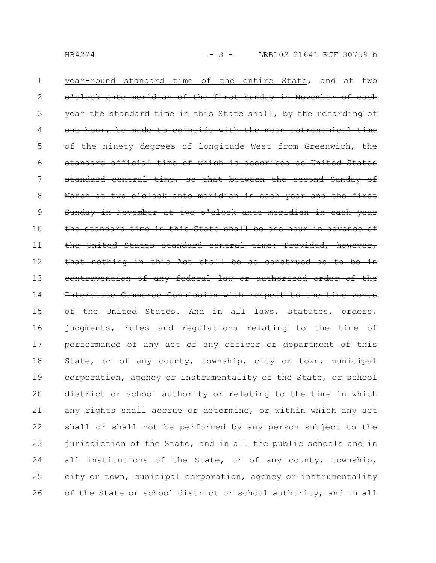year-round standard time of the entire State, and at o'clock ante meridian of the first Sunday in November of each year the standard time in this State shall, by the retarding of made to coincide with the mean ninety degrees of longitude West from Greenwich, the standard official time of which is described as United States standard central time, so that between the second Sunday of March at two o'clock ante meridian in each year and Sunday in November at two o'clock ante meridian in each year the standard time in this State shall be one hour in advance of the United States standard central time: Provided, however, that nothing in this Act shall be so construed as to be contravention of any federal law or authorized order of Interstate Commerce Commission with respect to the time zones of the United States. And in all laws, statutes, orders, judgments, rules and regulations relating to the time of performance of any act of any officer or department of this State, or of any county, township, city or town, municipal corporation, agency or instrumentality of the State, or school district or school authority or relating to the time in which any rights shall accrue or determine, or within which any act shall or shall not be performed by any person subject to the jurisdiction of the State, and in all the public schools and in all institutions of the State, or of any county, township, city or town, municipal corporation, agency or instrumentality of the State or school district or school authority, and in all 1 2 3 4 5 6 7 8 9 10 11 12 13 14 15 16 17 18 19 20 21 22 23 24 25 26